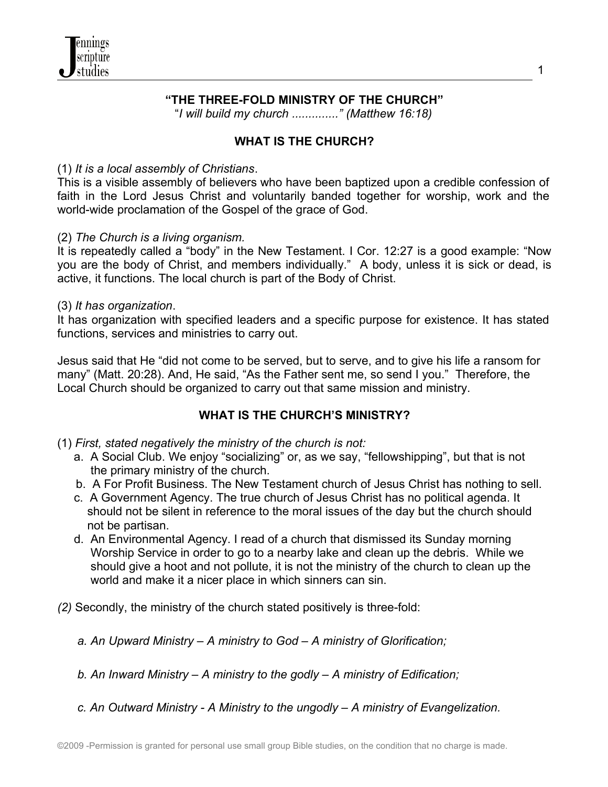## **"THE THREE-FOLD MINISTRY OF THE CHURCH"**

"*I will build my church .............." (Matthew 16:18)*

#### **WHAT IS THE CHURCH?**

#### (1) *It is a local assembly of Christians*.

This is a visible assembly of believers who have been baptized upon a credible confession of faith in the Lord Jesus Christ and voluntarily banded together for worship, work and the world-wide proclamation of the Gospel of the grace of God.

#### (2) *The Church is a living organism.*

It is repeatedly called a "body" in the New Testament. I Cor. 12:27 is a good example: "Now you are the body of Christ, and members individually." A body, unless it is sick or dead, is active, it functions. The local church is part of the Body of Christ.

#### (3) *It has organization*.

It has organization with specified leaders and a specific purpose for existence. It has stated functions, services and ministries to carry out.

Jesus said that He "did not come to be served, but to serve, and to give his life a ransom for many" (Matt. 20:28). And, He said, "As the Father sent me, so send I you." Therefore, the Local Church should be organized to carry out that same mission and ministry.

## **WHAT IS THE CHURCH'S MINISTRY?**

- (1) *First, stated negatively the ministry of the church is not:*
	- a. A Social Club. We enjoy "socializing" or, as we say, "fellowshipping", but that is not the primary ministry of the church.
	- b. A For Profit Business. The New Testament church of Jesus Christ has nothing to sell.
	- c. A Government Agency. The true church of Jesus Christ has no political agenda. It should not be silent in reference to the moral issues of the day but the church should not be partisan.
	- d. An Environmental Agency. I read of a church that dismissed its Sunday morning Worship Service in order to go to a nearby lake and clean up the debris. While we should give a hoot and not pollute, it is not the ministry of the church to clean up the world and make it a nicer place in which sinners can sin.
- *(2)* Secondly, the ministry of the church stated positively is three-fold:
	- *a. An Upward Ministry A ministry to God A ministry of Glorification;*
	- *b. An Inward Ministry A ministry to the godly A ministry of Edification;*
	- *c. An Outward Ministry A Ministry to the ungodly A ministry of Evangelization.*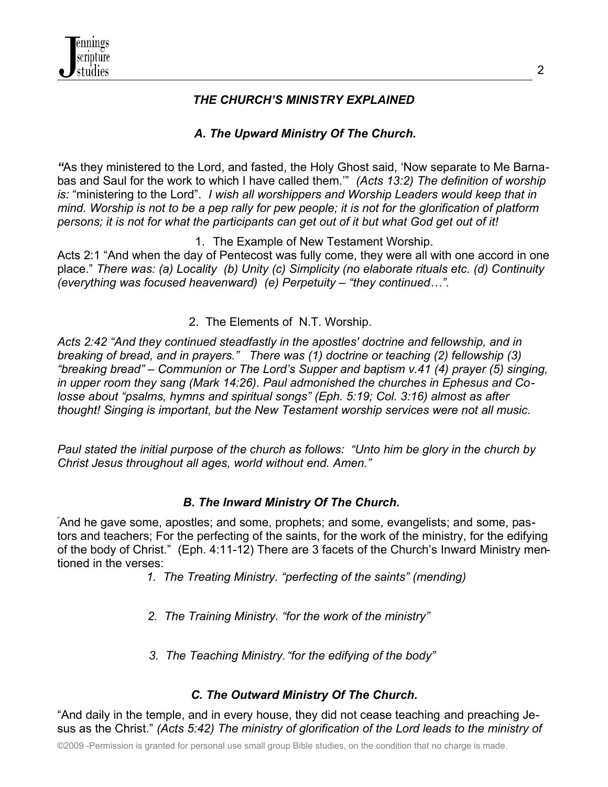## *THE CHURCH'S MINISTRY EXPLAINED*

# *A. The Upward Ministry Of The Church.*

*"*As they ministered to the Lord, and fasted, the Holy Ghost said, 'Now separate to Me Barnabas and Saul for the work to which I have called them.'" *(Acts 13:2) The definition of worship is:* "ministering to the Lord". *I wish all worshippers and Worship Leaders would keep that in mind. Worship is not to be a pep rally for pew people; it is not for the glorification of platform persons; it is not for what the participants can get out of it but what God get out of it!* 

1. The Example of New Testament Worship.

Acts 2:1 "And when the day of Pentecost was fully come, they were all with one accord in one place." *There was: (a) Locality (b) Unity (c) Simplicity (no elaborate rituals etc. (d) Continuity (everything was focused heavenward) (e) Perpetuity – "they continued…".*

2. The Elements of N.T. Worship.

*Acts 2:42 "And they continued steadfastly in the apostles' doctrine and fellowship, and in breaking of bread, and in prayers." There was (1) doctrine or teaching (2) fellowship (3) "breaking bread" – Communion or The Lord's Supper and baptism v.41 (4) prayer (5) singing, in upper room they sang (Mark 14:26). Paul admonished the churches in Ephesus and Colosse about "psalms, hymns and spiritual songs" (Eph. 5:19; Col. 3:16) almost as after thought! Singing is important, but the New Testament worship services were not all music.*

*Paul stated the initial purpose of the church as follows: "Unto him be glory in the church by Christ Jesus throughout all ages, world without end. Amen."*

## *B. The Inward Ministry Of The Church.*

"And he gave some, apostles; and some, prophets; and some, evangelists; and some, pastors and teachers; For the perfecting of the saints, for the work of the ministry, for the edifying of the body of Christ." (Eph. 4:11-12) There are 3 facets of the Church's Inward Ministry mentioned in the verses:

- *1. The Treating Ministry. "perfecting of the saints" (mending)*
- *2. The Training Ministry. "for the work of the ministry"*
- *3. The Teaching Ministry."for the edifying of the body"*

## *C. The Outward Ministry Of The Church.*

"And daily in the temple, and in every house, they did not cease teaching and preaching Jesus as the Christ." *(Acts 5:42) The ministry of glorification of the Lord leads to the ministry of*